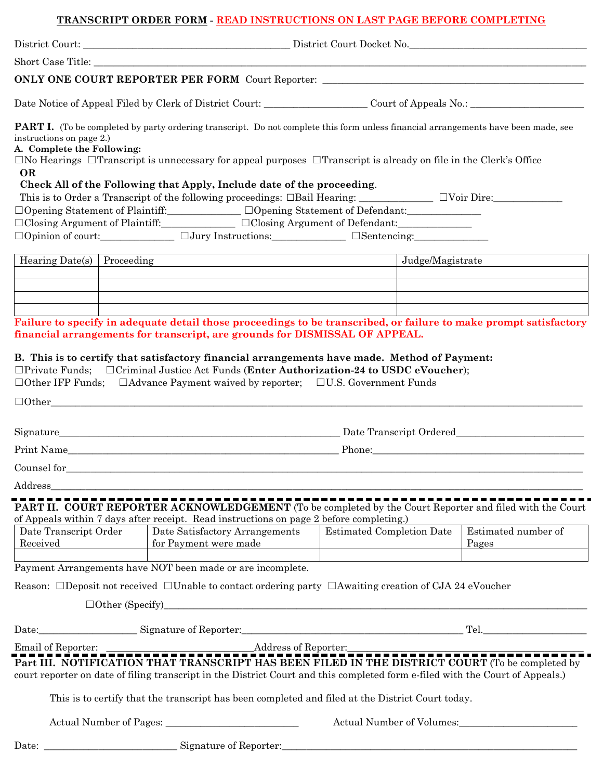## **TRANSCRIPT ORDER FORM - READ INSTRUCTIONS ON LAST PAGE BEFORE COMPLETING**

|                                                                                                            |  | <b>ONLY ONE COURT REPORTER PER FORM</b> Court Reporter:                                                                                                                                                                                                                                                                                                                                                                                                                                                                                                                                                                    |                  |                              |
|------------------------------------------------------------------------------------------------------------|--|----------------------------------------------------------------------------------------------------------------------------------------------------------------------------------------------------------------------------------------------------------------------------------------------------------------------------------------------------------------------------------------------------------------------------------------------------------------------------------------------------------------------------------------------------------------------------------------------------------------------------|------------------|------------------------------|
| Date Notice of Appeal Filed by Clerk of District Court: Court: Court of Appeals No.: Court of Appeals No.: |  |                                                                                                                                                                                                                                                                                                                                                                                                                                                                                                                                                                                                                            |                  |                              |
| instructions on page 2.)<br>A. Complete the Following:<br><b>OR</b>                                        |  | <b>PART I.</b> (To be completed by party ordering transcript. Do not complete this form unless financial arrangements have been made, see<br>$\Box$ No Hearings $\Box$ Transcript is unnecessary for appeal purposes $\Box$ Transcript is already on file in the Clerk's Office<br>Check All of the Following that Apply, Include date of the proceeding.<br>□Opening Statement of Plaintiff:<br>□Opening Statement of Defendant:<br>□<br>$\Box$ Closing Argument of Plaintiff: $\Box$ $\Box$ $\Box$ Closing Argument of Defendant: $\Box$<br>$\Box$ Opinion of court: $\Box$ $\Box$ Jury Instructions: $\Box$ Sentencing: |                  |                              |
| Hearing Date(s) $\vert$ Proceeding                                                                         |  |                                                                                                                                                                                                                                                                                                                                                                                                                                                                                                                                                                                                                            | Judge/Magistrate |                              |
|                                                                                                            |  |                                                                                                                                                                                                                                                                                                                                                                                                                                                                                                                                                                                                                            |                  |                              |
|                                                                                                            |  |                                                                                                                                                                                                                                                                                                                                                                                                                                                                                                                                                                                                                            |                  |                              |
|                                                                                                            |  | Failure to specify in adequate detail those proceedings to be transcribed, or failure to make prompt satisfactory<br>financial arrangements for transcript, are grounds for DISMISSAL OF APPEAL.<br>B. This is to certify that satisfactory financial arrangements have made. Method of Payment:<br>$\Box$ Private Funds; $\Box$ Criminal Justice Act Funds (Enter Authorization-24 to USDC eVoucher);<br>$\Box$ Other IFP Funds; $\Box$ Advance Payment waived by reporter; $\Box$ U.S. Government Funds                                                                                                                  |                  |                              |
|                                                                                                            |  | $\Box$ Other                                                                                                                                                                                                                                                                                                                                                                                                                                                                                                                                                                                                               |                  |                              |
|                                                                                                            |  |                                                                                                                                                                                                                                                                                                                                                                                                                                                                                                                                                                                                                            |                  |                              |
|                                                                                                            |  |                                                                                                                                                                                                                                                                                                                                                                                                                                                                                                                                                                                                                            |                  |                              |
| Counsel for                                                                                                |  |                                                                                                                                                                                                                                                                                                                                                                                                                                                                                                                                                                                                                            |                  |                              |
|                                                                                                            |  |                                                                                                                                                                                                                                                                                                                                                                                                                                                                                                                                                                                                                            |                  |                              |
|                                                                                                            |  | <b>PART II. COURT REPORTER ACKNOWLEDGEMENT</b> (To be completed by the Court Reporter and filed with the Court                                                                                                                                                                                                                                                                                                                                                                                                                                                                                                             |                  |                              |
| Date Transcript Order                                                                                      |  | of Appeals within 7 days after receipt. Read instructions on page 2 before completing.)<br>Date Satisfactory Arrangements   Estimated Completion Date<br>for Payment were made                                                                                                                                                                                                                                                                                                                                                                                                                                             |                  | Estimated number of<br>Pages |
|                                                                                                            |  | Payment Arrangements have NOT been made or are incomplete.                                                                                                                                                                                                                                                                                                                                                                                                                                                                                                                                                                 |                  |                              |
|                                                                                                            |  | Reason: $\Box$ Deposit not received $\Box$ Unable to contact ordering party $\Box$ Awaiting creation of CJA 24 eVoucher                                                                                                                                                                                                                                                                                                                                                                                                                                                                                                    |                  |                              |
|                                                                                                            |  | $\Box$ Other (Specify)                                                                                                                                                                                                                                                                                                                                                                                                                                                                                                                                                                                                     |                  |                              |
|                                                                                                            |  |                                                                                                                                                                                                                                                                                                                                                                                                                                                                                                                                                                                                                            |                  |                              |
|                                                                                                            |  |                                                                                                                                                                                                                                                                                                                                                                                                                                                                                                                                                                                                                            |                  |                              |
|                                                                                                            |  | Part III. NOTIFICATION THAT TRANSCRIPT HAS BEEN FILED IN THE DISTRICT COURT (To be completed by<br>court reporter on date of filing transcript in the District Court and this completed form e-filed with the Court of Appeals.)                                                                                                                                                                                                                                                                                                                                                                                           |                  |                              |
|                                                                                                            |  | This is to certify that the transcript has been completed and filed at the District Court today.                                                                                                                                                                                                                                                                                                                                                                                                                                                                                                                           |                  |                              |
|                                                                                                            |  |                                                                                                                                                                                                                                                                                                                                                                                                                                                                                                                                                                                                                            |                  |                              |
|                                                                                                            |  |                                                                                                                                                                                                                                                                                                                                                                                                                                                                                                                                                                                                                            |                  |                              |